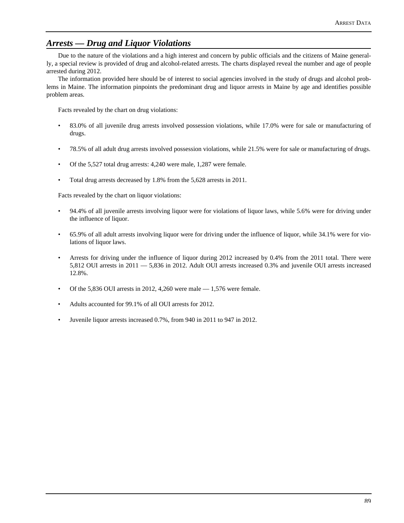## *Arrests — Drug and Liquor Violations*

Due to the nature of the violations and a high interest and concern by public officials and the citizens of Maine generally, a special review is provided of drug and alcohol-related arrests. The charts displayed reveal the number and age of people arrested during 2012.

The information provided here should be of interest to social agencies involved in the study of drugs and alcohol problems in Maine. The information pinpoints the predominant drug and liquor arrests in Maine by age and identifies possible problem areas.

Facts revealed by the chart on drug violations:

- 83.0% of all juvenile drug arrests involved possession violations, while 17.0% were for sale or manufacturing of drugs.
- 78.5% of all adult drug arrests involved possession violations, while 21.5% were for sale or manufacturing of drugs.
- Of the 5,527 total drug arrests: 4,240 were male, 1,287 were female.
- Total drug arrests decreased by 1.8% from the 5,628 arrests in 2011.

Facts revealed by the chart on liquor violations:

- 94.4% of all juvenile arrests involving liquor were for violations of liquor laws, while 5.6% were for driving under the influence of liquor.
- 65.9% of all adult arrests involving liquor were for driving under the influence of liquor, while 34.1% were for violations of liquor laws.
- Arrests for driving under the influence of liquor during 2012 increased by 0.4% from the 2011 total. There were 5,812 OUI arrests in 2011 — 5,836 in 2012. Adult OUI arrests increased 0.3% and juvenile OUI arrests increased 12.8%.
- Of the 5,836 OUI arrests in 2012, 4,260 were male 1,576 were female.
- Adults accounted for 99.1% of all OUI arrests for 2012.
- Juvenile liquor arrests increased 0.7%, from 940 in 2011 to 947 in 2012.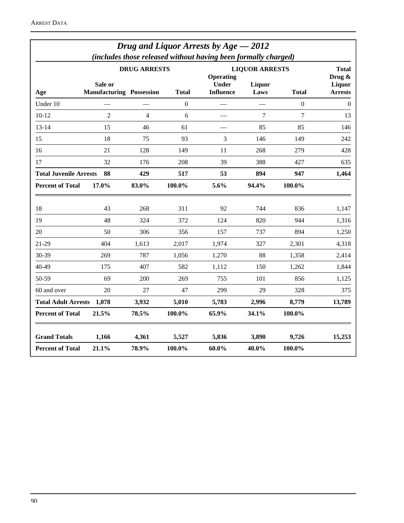| Drug and Liquor Arrests by $Age - 2012$<br>(includes those released without having been formally charged) |                                 |                     |                  |                                                           |                                  |                  |                |  |  |  |
|-----------------------------------------------------------------------------------------------------------|---------------------------------|---------------------|------------------|-----------------------------------------------------------|----------------------------------|------------------|----------------|--|--|--|
|                                                                                                           | Sale or                         | <b>DRUG ARRESTS</b> |                  | <b>LIQUOR ARRESTS</b><br><b>Operating</b><br><b>Under</b> | <b>Total</b><br>Drug &<br>Liquor |                  |                |  |  |  |
| Age                                                                                                       | <b>Manufacturing Possession</b> |                     | <b>Total</b>     | <b>Influence</b>                                          | Laws                             | <b>Total</b>     | <b>Arrests</b> |  |  |  |
| Under 10                                                                                                  |                                 |                     | $\boldsymbol{0}$ |                                                           |                                  | $\boldsymbol{0}$ | $\Omega$       |  |  |  |
| $10 - 12$                                                                                                 | $\overline{2}$                  | 4                   | 6                |                                                           | $\overline{7}$                   | $\overline{7}$   | 13             |  |  |  |
| $13 - 14$                                                                                                 | 15                              | 46                  | 61               |                                                           | 85                               | 85               | 146            |  |  |  |
| 15                                                                                                        | 18                              | 75                  | 93               | 3                                                         | 146                              | 149              | 242            |  |  |  |
| 16                                                                                                        | 21                              | 128                 | 149              | 11                                                        | 268                              | 279              | 428            |  |  |  |
| 17                                                                                                        | 32                              | 176                 | 208              | 39                                                        | 388                              | 427              | 635            |  |  |  |
| <b>Total Juvenile Arrests</b><br>88                                                                       |                                 | 429                 | 517              | 53                                                        | 894                              | 947              | 1,464          |  |  |  |
| <b>Percent of Total</b>                                                                                   | 17.0%                           | 83.0%               | 100.0%           | 5.6%                                                      | 94.4%                            | 100.0%           |                |  |  |  |
| 18                                                                                                        | 43                              | 268                 | 311              | 92                                                        | 744                              | 836              | 1,147          |  |  |  |
| 19                                                                                                        | 48                              | 324                 | 372              | 124                                                       | 820                              | 944              | 1,316          |  |  |  |
| 20                                                                                                        | 50                              | 306                 | 356              | 157                                                       | 737                              | 894              | 1,250          |  |  |  |
| 21-29                                                                                                     | 404                             | 1,613               | 2,017            | 1,974                                                     | 327                              | 2,301            | 4,318          |  |  |  |
| 30-39                                                                                                     | 269                             | 787                 | 1,056            | 1,270                                                     | 88                               | 1,358            | 2,414          |  |  |  |
| 40-49                                                                                                     | 175                             | 407                 | 582              | 1,112                                                     | 150                              | 1,262            | 1,844          |  |  |  |
| 50-59                                                                                                     | 69                              | 200                 | 269              | 755                                                       | 101                              | 856              | 1,125          |  |  |  |
| 60 and over                                                                                               | 20                              | 27                  | 47               | 299                                                       | 29                               | 328              | 375            |  |  |  |
| <b>Total Adult Arrests</b>                                                                                | 1,078                           | 3,932               | 5,010            | 5,783                                                     | 2,996                            | 8,779            | 13,789         |  |  |  |
| <b>Percent of Total</b>                                                                                   | 21.5%                           | 78.5%               | 100.0%           | 65.9%                                                     | 34.1%                            | 100.0%           |                |  |  |  |
| <b>Grand Totals</b>                                                                                       | 1,166                           | 4,361               | 5,527            | 5,836                                                     | 3,890                            | 9,726            | 15,253         |  |  |  |
| <b>Percent of Total</b>                                                                                   | 21.1%                           | 78.9%               | 100.0%           | $60.0\%$                                                  | 40.0%                            | 100.0%           |                |  |  |  |